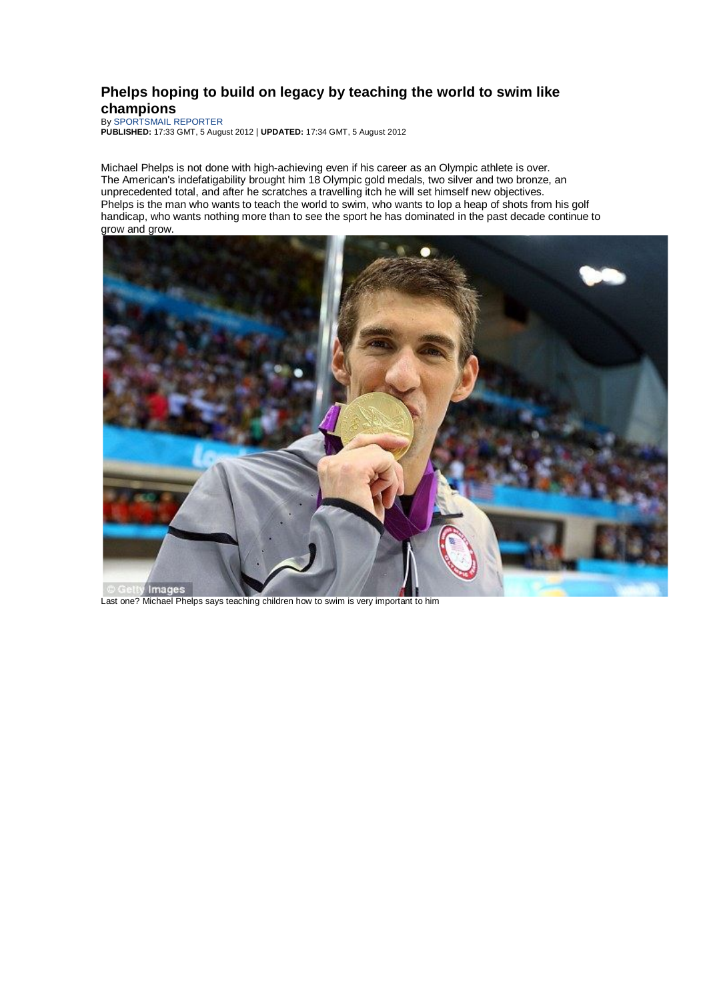## **Phelps hoping to build on legacy by teaching the world to swim like champions**

By SPORTSMAIL REPORTER

**PUBLISHED:** 17:33 GMT, 5 August 2012 | **UPDATED:** 17:34 GMT, 5 August 2012

Michael Phelps is not done with high-achieving even if his career as an Olympic athlete is over. The American's indefatigability brought him 18 Olympic gold medals, two silver and two bronze, an unprecedented total, and after he scratches a travelling itch he will set himself new objectives. Phelps is the man who wants to teach the world to swim, who wants to lop a heap of shots from his golf handicap, who wants nothing more than to see the sport he has dominated in the past decade continue to grow and grow.



Last one? Michael Phelps says teaching children how to swim is very important to him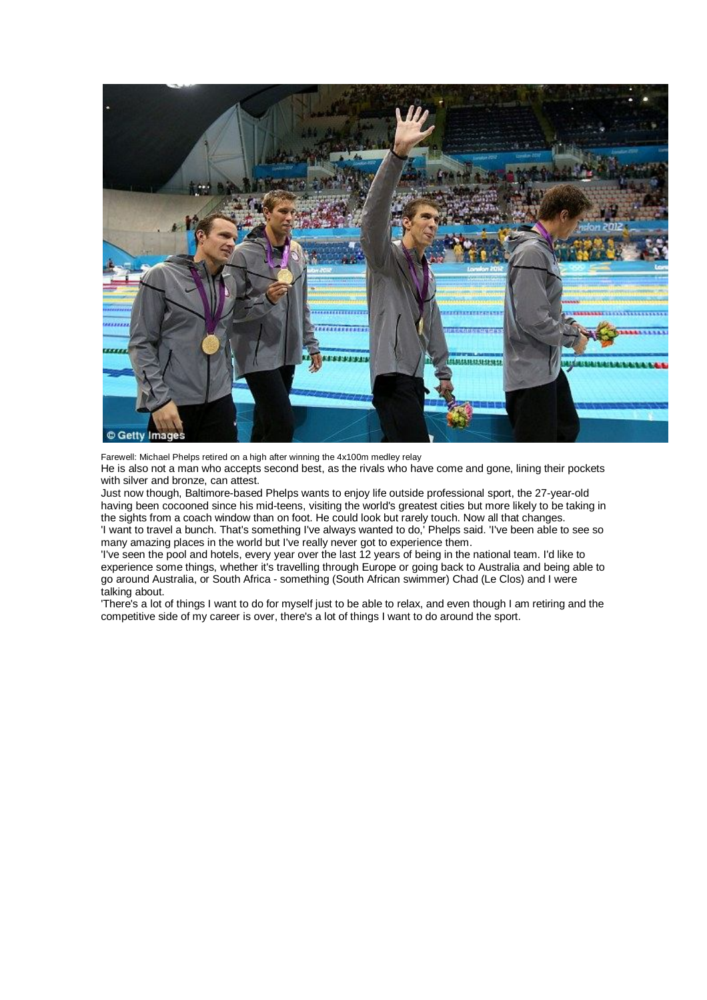

Farewell: Michael Phelps retired on a high after winning the 4x100m medley relay

He is also not a man who accepts second best, as the rivals who have come and gone, lining their pockets with silver and bronze, can attest.

Just now though, Baltimore-based Phelps wants to enjoy life outside professional sport, the 27-year-old having been cocooned since his mid-teens, visiting the world's greatest cities but more likely to be taking in the sights from a coach window than on foot. He could look but rarely touch. Now all that changes. 'I want to travel a bunch. That's something I've always wanted to do,' Phelps said. 'I've been able to see so

many amazing places in the world but I've really never got to experience them.

'I've seen the pool and hotels, every year over the last 12 years of being in the national team. I'd like to experience some things, whether it's travelling through Europe or going back to Australia and being able to go around Australia, or South Africa - something (South African swimmer) Chad (Le Clos) and I were talking about.

'There's a lot of things I want to do for myself just to be able to relax, and even though I am retiring and the competitive side of my career is over, there's a lot of things I want to do around the sport.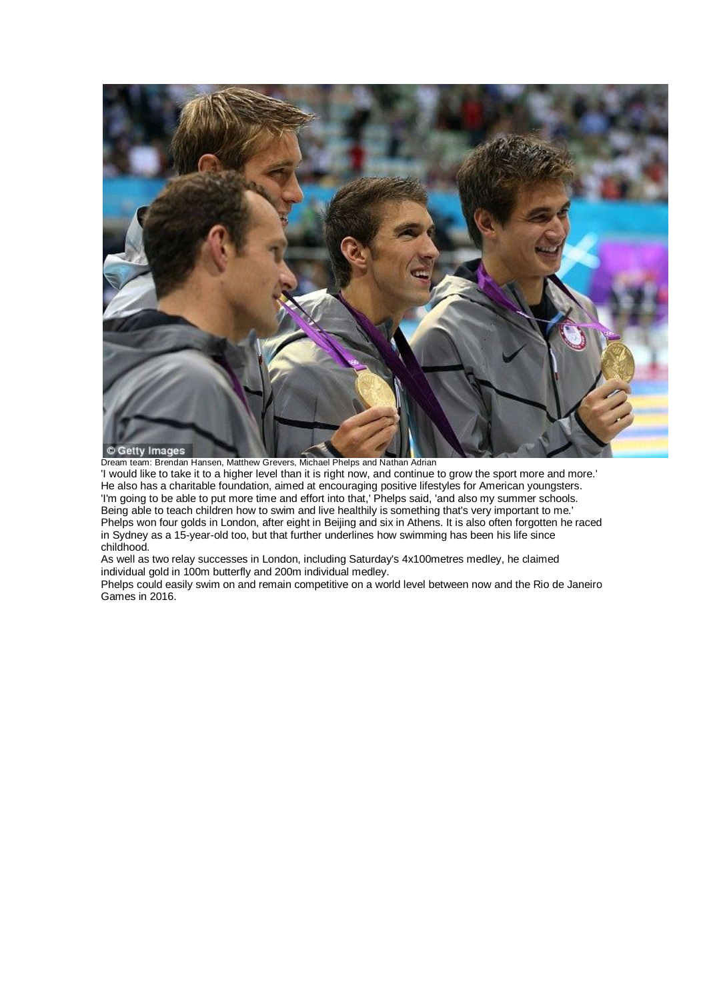

Dream team: Brendan Hansen, Matthew Grevers, Michael Phelps and Nathan Adrian

'I would like to take it to a higher level than it is right now, and continue to grow the sport more and more.' He also has a charitable foundation, aimed at encouraging positive lifestyles for American youngsters. 'I'm going to be able to put more time and effort into that,' Phelps said, 'and also my summer schools. Being able to teach children how to swim and live healthily is something that's very important to me.' Phelps won four golds in London, after eight in Beijing and six in Athens. It is also often forgotten he raced in Sydney as a 15-year-old too, but that further underlines how swimming has been his life since childhood.

As well as two relay successes in London, including Saturday's 4x100metres medley, he claimed individual gold in 100m butterfly and 200m individual medley.

Phelps could easily swim on and remain competitive on a world level between now and the Rio de Janeiro Games in 2016.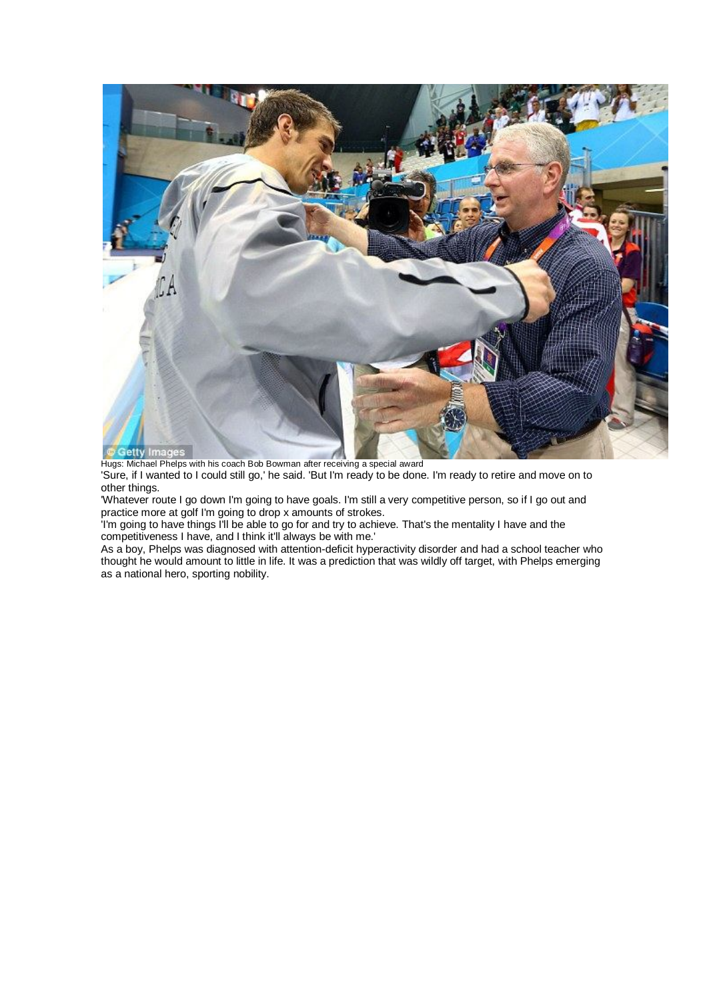

Hugs: Michael Phelps with his coach Bob Bowman after receiving a special award 'Sure, if I wanted to I could still go,' he said. 'But I'm ready to be done. I'm ready to retire and move on to other things.

'Whatever route I go down I'm going to have goals. I'm still a very competitive person, so if I go out and practice more at golf I'm going to drop x amounts of strokes.

'I'm going to have things I'll be able to go for and try to achieve. That's the mentality I have and the competitiveness I have, and I think it'll always be with me.'

As a boy, Phelps was diagnosed with attention-deficit hyperactivity disorder and had a school teacher who thought he would amount to little in life. It was a prediction that was wildly off target, with Phelps emerging as a national hero, sporting nobility.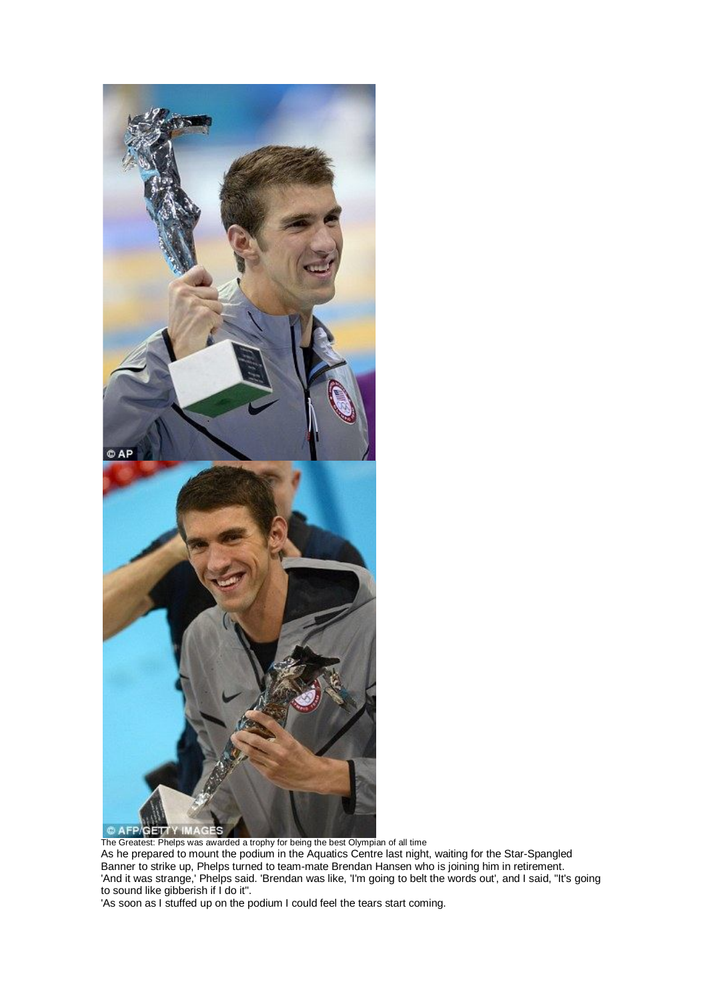

The Greatest: Phelps was awarded a trophy for being the best Olympian of all time As he prepared to mount the podium in the Aquatics Centre last night, waiting for the Star-Spangled Banner to strike up, Phelps turned to team-mate Brendan Hansen who is joining him in retirement. 'And it was strange,' Phelps said. 'Brendan was like, 'I'm going to belt the words out', and I said, "It's going to sound like gibberish if I do it".

'As soon as I stuffed up on the podium I could feel the tears start coming.